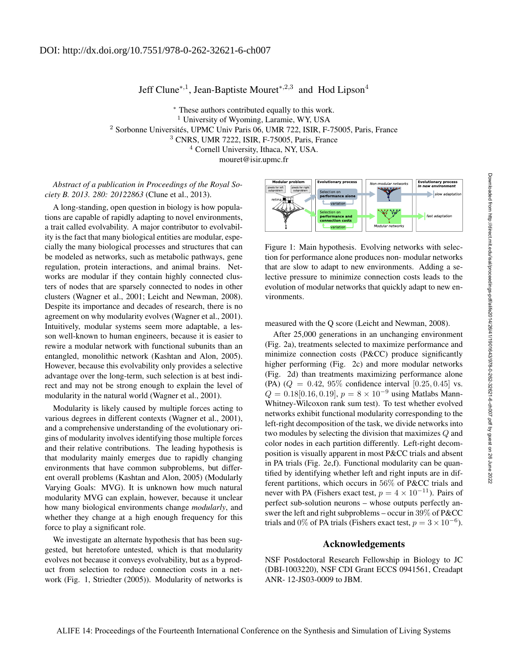## Jeff Clune<sup>∗,1</sup>, Jean-Baptiste Mouret<sup>∗,2,3</sup> and Hod Lipson<sup>4</sup>

<sup>∗</sup> These authors contributed equally to this work. <sup>1</sup> University of Wyoming, Laramie, WY, USA <sup>2</sup> Sorbonne Universités, UPMC Univ Paris 06, UMR 722, ISIR, F-75005, Paris, France <sup>3</sup> CNRS, UMR 7222, ISIR, F-75005, Paris, France <sup>4</sup> Cornell University, Ithaca, NY, USA. mouret@isir.upmc.fr

*Abstract of a publication in Proceedings of the Royal Society B. 2013. 280: 20122863* (Clune et al., 2013).

A long-standing, open question in biology is how populations are capable of rapidly adapting to novel environments, a trait called evolvability. A major contributor to evolvability is the fact that many biological entities are modular, especially the many biological processes and structures that can be modeled as networks, such as metabolic pathways, gene regulation, protein interactions, and animal brains. Networks are modular if they contain highly connected clusters of nodes that are sparsely connected to nodes in other clusters (Wagner et al., 2001; Leicht and Newman, 2008). Despite its importance and decades of research, there is no agreement on why modularity evolves (Wagner et al., 2001). Intuitively, modular systems seem more adaptable, a lesson well-known to human engineers, because it is easier to rewire a modular network with functional subunits than an entangled, monolithic network (Kashtan and Alon, 2005). However, because this evolvability only provides a selective advantage over the long-term, such selection is at best indirect and may not be strong enough to explain the level of modularity in the natural world (Wagner et al., 2001).

Modularity is likely caused by multiple forces acting to various degrees in different contexts (Wagner et al., 2001), and a comprehensive understanding of the evolutionary origins of modularity involves identifying those multiple forces and their relative contributions. The leading hypothesis is that modularity mainly emerges due to rapidly changing environments that have common subproblems, but different overall problems (Kashtan and Alon, 2005) (Modularly Varying Goals: MVG). It is unknown how much natural modularity MVG can explain, however, because it unclear how many biological environments change *modularly*, and whether they change at a high enough frequency for this force to play a significant role.

We investigate an alternate hypothesis that has been suggested, but heretofore untested, which is that modularity evolves not because it conveys evolvability, but as a byproduct from selection to reduce connection costs in a network (Fig. 1, Striedter (2005)). Modularity of networks is



Figure 1: Main hypothesis. Evolving networks with selection for performance alone produces non- modular networks that are slow to adapt to new environments. Adding a selective pressure to minimize connection costs leads to the evolution of modular networks that quickly adapt to new environments.

measured with the Q score (Leicht and Newman, 2008).

After 25,000 generations in an unchanging environment (Fig. 2a), treatments selected to maximize performance and minimize connection costs (P&CC) produce significantly higher performing (Fig. 2c) and more modular networks (Fig. 2d) than treatments maximizing performance alone (PA)  $(Q = 0.42, 95\%$  confidence interval  $[0.25, 0.45]$  vs.  $Q = 0.18[0.16, 0.19], p = 8 \times 10^{-9}$  using Matlabs Mann-Whitney-Wilcoxon rank sum test). To test whether evolved networks exhibit functional modularity corresponding to the left-right decomposition of the task, we divide networks into two modules by selecting the division that maximizes Q and color nodes in each partition differently. Left-right decomposition is visually apparent in most P&CC trials and absent in PA trials (Fig. 2e,f). Functional modularity can be quantified by identifying whether left and right inputs are in different partitions, which occurs in 56% of P&CC trials and never with PA (Fishers exact test,  $p = 4 \times 10^{-11}$ ). Pairs of perfect sub-solution neurons – whose outputs perfectly answer the left and right subproblems – occur in 39% of P&CC trials and 0% of PA trials (Fishers exact test,  $p = 3 \times 10^{-6}$ ).

## Acknowledgements

NSF Postdoctoral Research Fellowship in Biology to JC (DBI-1003220), NSF CDI Grant ECCS 0941561, Creadapt ANR- 12-JS03-0009 to JBM.